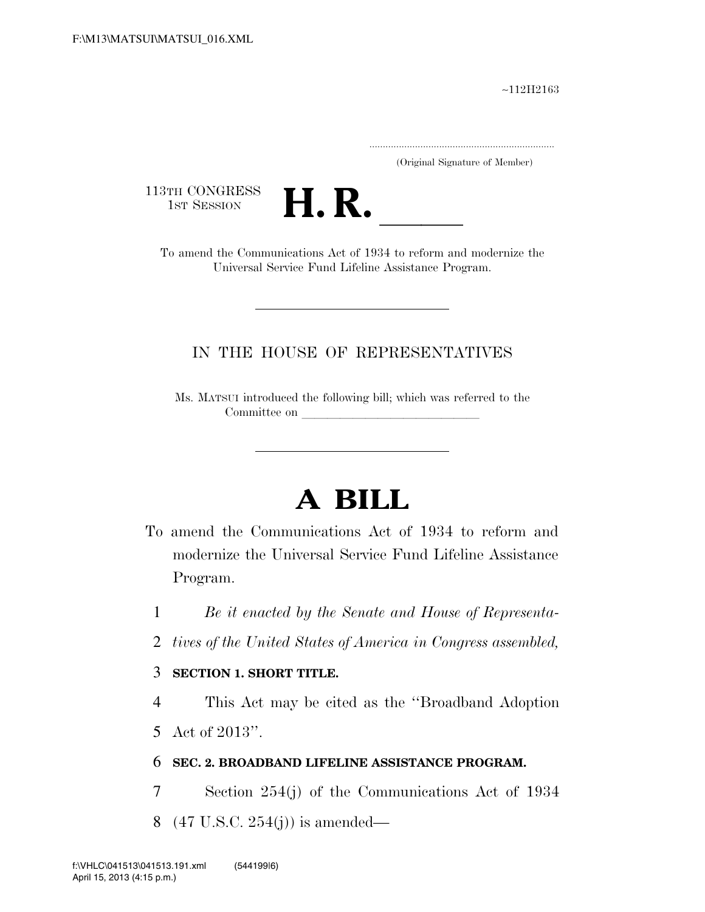∼112H2163

.....................................................................

(Original Signature of Member)

113TH CONGRESS<br>1st Session



3TH CONGRESS<br>1st SESSION **H. R.** <u>Indications Act of 1934</u> to reform and modernize the Universal Service Fund Lifeline Assistance Program.

## IN THE HOUSE OF REPRESENTATIVES

Ms. MATSUI introduced the following bill; which was referred to the Committee on

## **A BILL**

- To amend the Communications Act of 1934 to reform and modernize the Universal Service Fund Lifeline Assistance Program.
	- 1 *Be it enacted by the Senate and House of Representa-*
	- 2 *tives of the United States of America in Congress assembled,*

## 3 **SECTION 1. SHORT TITLE.**

- 4 This Act may be cited as the ''Broadband Adoption
- 5 Act of 2013''.

## 6 **SEC. 2. BROADBAND LIFELINE ASSISTANCE PROGRAM.**

- 7 Section 254(j) of the Communications Act of 1934
- 8 (47 U.S.C. 254(j)) is amended—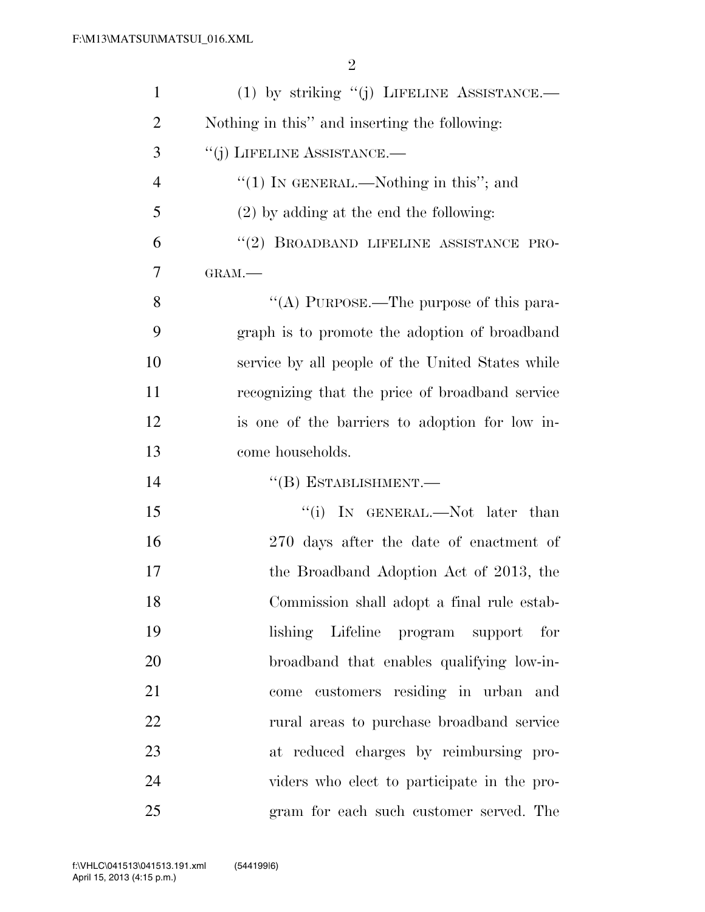| $\mathbf{1}$   | (1) by striking "(j) LIFELINE ASSISTANCE.—       |
|----------------|--------------------------------------------------|
| $\overline{2}$ | Nothing in this" and inserting the following:    |
| 3              | "(j) LIFELINE ASSISTANCE.—                       |
| $\overline{4}$ | "(1) IN GENERAL.—Nothing in this"; and           |
| 5              | $(2)$ by adding at the end the following:        |
| 6              | "(2) BROADBAND LIFELINE ASSISTANCE PRO-          |
| 7              | GRAM.-                                           |
| 8              | "(A) PURPOSE.—The purpose of this para-          |
| 9              | graph is to promote the adoption of broadband    |
| 10             | service by all people of the United States while |
| 11             | recognizing that the price of broadband service  |
| 12             | is one of the barriers to adoption for low in-   |
| 13             | come households.                                 |
| 14             | $\lq$ <sup>"</sup> (B) ESTABLISHMENT.—           |
| 15             | "(i) IN GENERAL.—Not later than                  |
| 16             | 270 days after the date of enactment of          |
| 17             | the Broadband Adoption Act of 2013, the          |
| 18             | Commission shall adopt a final rule estab-       |
| 19             | lishing Lifeline program support for             |
| 20             | broadband that enables qualifying low-in-        |
| 21             | come customers residing in urban and             |
| 22             | rural areas to purchase broadband service        |
| 23             | at reduced charges by reimbursing pro-           |
| 24             | viders who elect to participate in the pro-      |
|                |                                                  |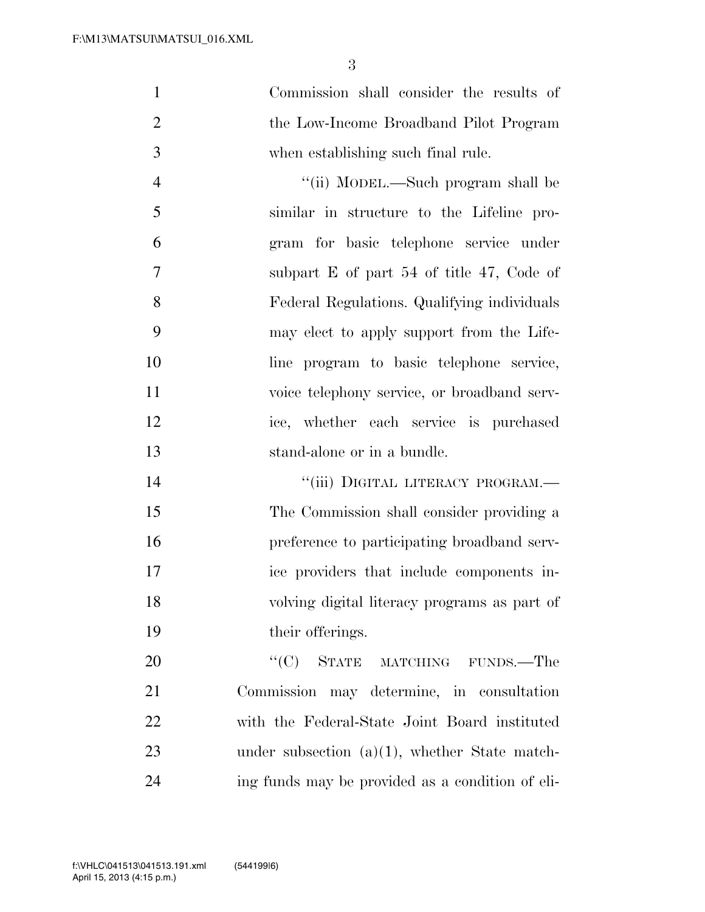| $\mathbf{1}$   | Commission shall consider the results of         |
|----------------|--------------------------------------------------|
| $\overline{2}$ | the Low-Income Broadband Pilot Program           |
| 3              | when establishing such final rule.               |
| $\overline{4}$ | "(ii) MODEL.—Such program shall be               |
| 5              | similar in structure to the Lifeline pro-        |
| 6              | gram for basic telephone service under           |
| $\overline{7}$ | subpart $E$ of part 54 of title 47, Code of      |
| 8              | Federal Regulations. Qualifying individuals      |
| 9              | may elect to apply support from the Life-        |
| 10             | line program to basic telephone service,         |
| 11             | voice telephony service, or broadband serv-      |
| 12             | ice, whether each service is purchased           |
| 13             | stand-alone or in a bundle.                      |
| 14             | "(iii) DIGITAL LITERACY PROGRAM.-                |
| 15             | The Commission shall consider providing a        |
| 16             | preference to participating broadband serv-      |
| 17             | ice providers that include components in-        |
| 18             | volving digital literacy programs as part of     |
| 19             | their offerings.                                 |
| 20             | ``(C)<br><b>STATE</b><br>MATCHING FUNDS.—The     |
| 21             | Commission may determine, in consultation        |
| 22             | with the Federal-State Joint Board instituted    |
| 23             | under subsection $(a)(1)$ , whether State match- |
| 24             | ing funds may be provided as a condition of eli- |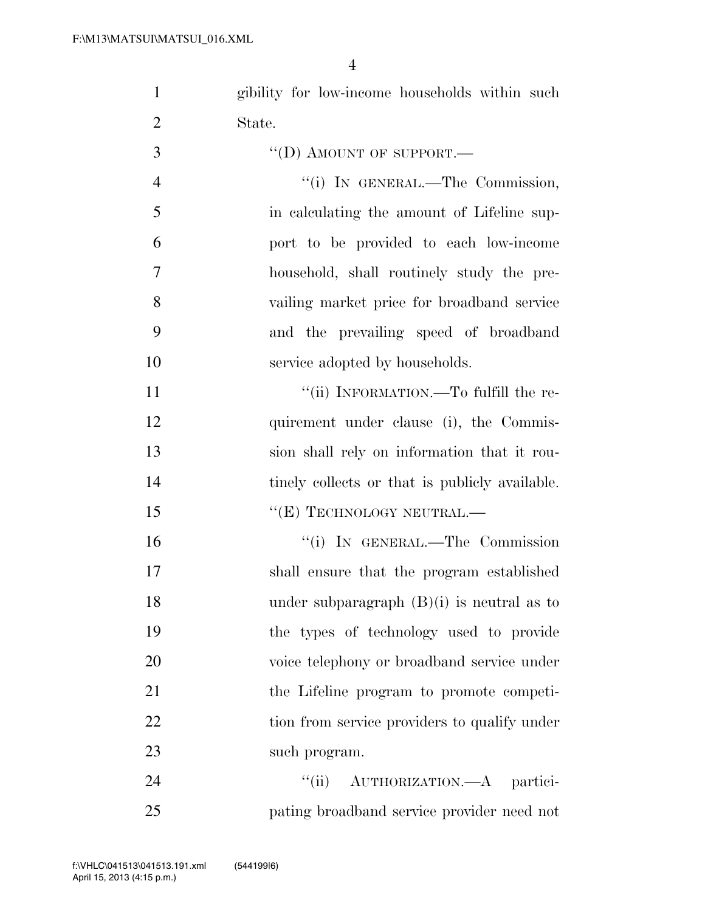gibility for low-income households within such State. ''(D) AMOUNT OF SUPPORT.—

| $\overline{4}$  | "(i) IN GENERAL.—The Commission,           |
|-----------------|--------------------------------------------|
| $5\overline{)}$ | in calculating the amount of Lifeline sup- |
| 6               | port to be provided to each low-income     |
| 7               | household, shall routinely study the pre-  |
| 8               | vailing market price for broadband service |
| 9               | and the prevailing speed of broadband      |
| 10              | service adopted by households.             |
| 11              |                                            |

11  $"$ (ii) INFORMATION.—To fulfill the re-12 quirement under clause (i), the Commis- sion shall rely on information that it rou-14 tinely collects or that is publicly available. 15 "(E) TECHNOLOGY NEUTRAL.—

 $"$ (i) IN GENERAL.—The Commission shall ensure that the program established under subparagraph (B)(i) is neutral as to the types of technology used to provide voice telephony or broadband service under the Lifeline program to promote competi-22 tion from service providers to qualify under such program.

24 "(ii) AUTHORIZATION.—A partici-pating broadband service provider need not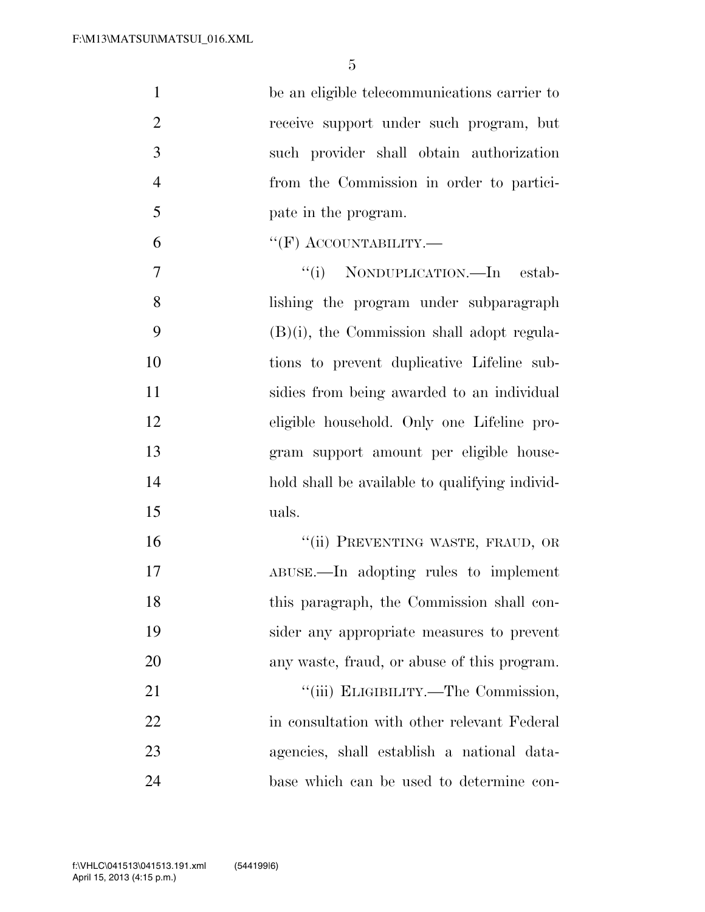| $\mathbf{1}$   | be an eligible telecommunications carrier to   |
|----------------|------------------------------------------------|
| $\overline{2}$ | receive support under such program, but        |
| 3              | such provider shall obtain authorization       |
| $\overline{4}$ | from the Commission in order to partici-       |
| 5              | pate in the program.                           |
| 6              | $``$ (F) ACCOUNTABILITY.—                      |
| 7              | "(i) NONDUPLICATION.—In estab-                 |
| 8              | lishing the program under subparagraph         |
| 9              | $(B)(i)$ , the Commission shall adopt regula-  |
| 10             | tions to prevent duplicative Lifeline sub-     |
| 11             | sidies from being awarded to an individual     |
| 12             | eligible household. Only one Lifeline pro-     |
| 13             | gram support amount per eligible house-        |
| 14             | hold shall be available to qualifying individ- |
| 15             | uals.                                          |
| 16             | "(ii) PREVENTING WASTE, FRAUD, OR              |
| 17             | ABUSE.—In adopting rules to implement          |
| 18             | this paragraph, the Commission shall con-      |
| 19             | sider any appropriate measures to prevent      |
| <b>20</b>      | any waste, fraud, or abuse of this program.    |
| 21             | "(iii) ELIGIBILITY.—The Commission,            |
| 22             | in consultation with other relevant Federal    |
| 23             | agencies, shall establish a national data-     |
| 24             | base which can be used to determine con-       |